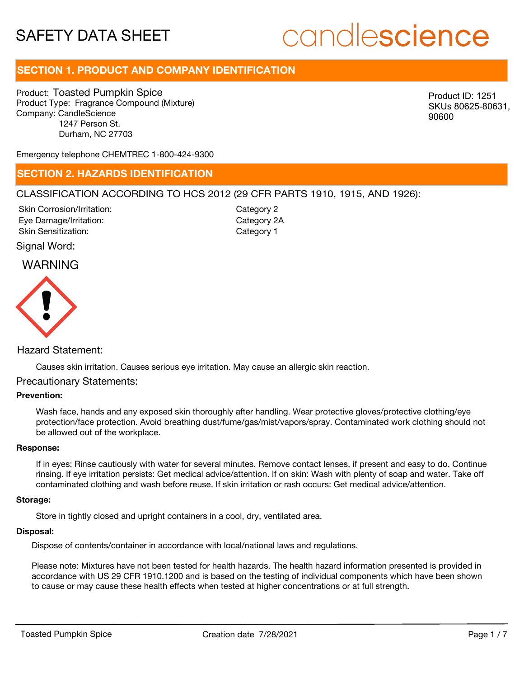# candlescience

# **SECTION 1. PRODUCT AND COMPANY IDENTIFICATION**

Product: Toasted Pumpkin Spice Product Type: Fragrance Compound (Mixture) Company: CandleScience 1247 Person St. Durham, NC 27703

Product ID: 1251 SKUs 80625-80631, 90600

Emergency telephone CHEMTREC 1-800-424-9300

## **SECTION 2. HAZARDS IDENTIFICATION**

#### CLASSIFICATION ACCORDING TO HCS 2012 (29 CFR PARTS 1910, 1915, AND 1926):

Skin Corrosion/Irritation: Eye Damage/Irritation: Skin Sensitization:

Category 2 Category 2A Category 1

#### Signal Word:

## WARNING



### Hazard Statement:

Causes skin irritation. Causes serious eye irritation. May cause an allergic skin reaction.

#### Precautionary Statements:

#### **Prevention:**

Wash face, hands and any exposed skin thoroughly after handling. Wear protective gloves/protective clothing/eye protection/face protection. Avoid breathing dust/fume/gas/mist/vapors/spray. Contaminated work clothing should not be allowed out of the workplace.

#### **Response:**

If in eyes: Rinse cautiously with water for several minutes. Remove contact lenses, if present and easy to do. Continue rinsing. If eye irritation persists: Get medical advice/attention. If on skin: Wash with plenty of soap and water. Take off contaminated clothing and wash before reuse. If skin irritation or rash occurs: Get medical advice/attention.

#### **Storage:**

Store in tightly closed and upright containers in a cool, dry, ventilated area.

#### **Disposal:**

Dispose of contents/container in accordance with local/national laws and regulations.

Please note: Mixtures have not been tested for health hazards. The health hazard information presented is provided in accordance with US 29 CFR 1910.1200 and is based on the testing of individual components which have been shown to cause or may cause these health effects when tested at higher concentrations or at full strength.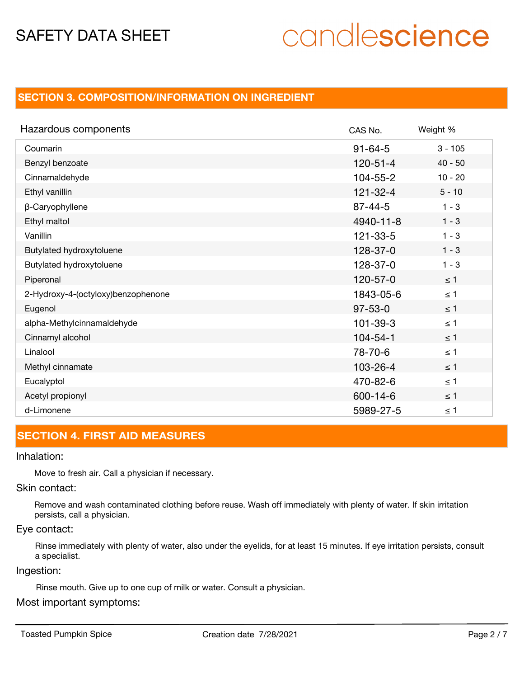# candlescience

# **SECTION 3. COMPOSITION/INFORMATION ON INGREDIENT**

| Hazardous components               | CAS No.        | Weight %  |
|------------------------------------|----------------|-----------|
| Coumarin                           | $91 - 64 - 5$  | $3 - 105$ |
| Benzyl benzoate                    | $120 - 51 - 4$ | $40 - 50$ |
| Cinnamaldehyde                     | $104 - 55 - 2$ | $10 - 20$ |
| Ethyl vanillin                     | $121 - 32 - 4$ | $5 - 10$  |
| β-Caryophyllene                    | $87 - 44 - 5$  | $1 - 3$   |
| Ethyl maltol                       | 4940-11-8      | $1 - 3$   |
| Vanillin                           | $121 - 33 - 5$ | $1 - 3$   |
| Butylated hydroxytoluene           | 128-37-0       | $1 - 3$   |
| Butylated hydroxytoluene           | 128-37-0       | $1 - 3$   |
| Piperonal                          | $120 - 57 - 0$ | $\leq 1$  |
| 2-Hydroxy-4-(octyloxy)benzophenone | 1843-05-6      | $\leq 1$  |
| Eugenol                            | $97 - 53 - 0$  | $\leq 1$  |
| alpha-Methylcinnamaldehyde         | $101 - 39 - 3$ | $\leq 1$  |
| Cinnamyl alcohol                   | $104 - 54 - 1$ | $\leq 1$  |
| Linalool                           | 78-70-6        | $\leq 1$  |
| Methyl cinnamate                   | 103-26-4       | $\leq$ 1  |
| Eucalyptol                         | 470-82-6       | $\leq 1$  |
| Acetyl propionyl                   | 600-14-6       | $\leq 1$  |
| d-Limonene                         | 5989-27-5      | $\leq 1$  |

# **SECTION 4. FIRST AID MEASURES**

#### Inhalation:

Move to fresh air. Call a physician if necessary.

#### Skin contact:

Remove and wash contaminated clothing before reuse. Wash off immediately with plenty of water. If skin irritation persists, call a physician.

#### Eye contact:

Rinse immediately with plenty of water, also under the eyelids, for at least 15 minutes. If eye irritation persists, consult a specialist.

#### Ingestion:

Rinse mouth. Give up to one cup of milk or water. Consult a physician.

### Most important symptoms: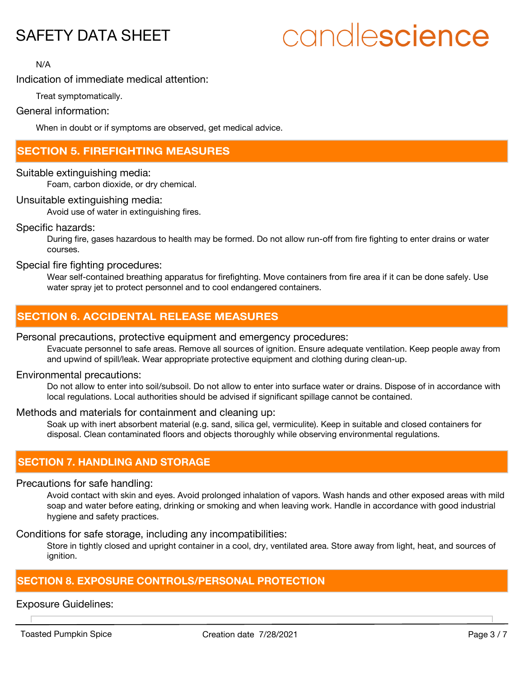# candlescience

N/A

## Indication of immediate medical attention:

Treat symptomatically.

#### General information:

When in doubt or if symptoms are observed, get medical advice.

## **SECTION 5. FIREFIGHTING MEASURES**

Suitable extinguishing media:

Foam, carbon dioxide, or dry chemical.

#### Unsuitable extinguishing media:

Avoid use of water in extinguishing fires.

#### Specific hazards:

During fire, gases hazardous to health may be formed. Do not allow run-off from fire fighting to enter drains or water courses.

#### Special fire fighting procedures:

Wear self-contained breathing apparatus for firefighting. Move containers from fire area if it can be done safely. Use water spray jet to protect personnel and to cool endangered containers.

# **SECTION 6. ACCIDENTAL RELEASE MEASURES**

#### Personal precautions, protective equipment and emergency procedures:

Evacuate personnel to safe areas. Remove all sources of ignition. Ensure adequate ventilation. Keep people away from and upwind of spill/leak. Wear appropriate protective equipment and clothing during clean-up.

#### Environmental precautions:

Do not allow to enter into soil/subsoil. Do not allow to enter into surface water or drains. Dispose of in accordance with local regulations. Local authorities should be advised if significant spillage cannot be contained.

#### Methods and materials for containment and cleaning up:

Soak up with inert absorbent material (e.g. sand, silica gel, vermiculite). Keep in suitable and closed containers for disposal. Clean contaminated floors and objects thoroughly while observing environmental regulations.

## **SECTION 7. HANDLING AND STORAGE**

#### Precautions for safe handling:

Avoid contact with skin and eyes. Avoid prolonged inhalation of vapors. Wash hands and other exposed areas with mild soap and water before eating, drinking or smoking and when leaving work. Handle in accordance with good industrial hygiene and safety practices.

Conditions for safe storage, including any incompatibilities:

Store in tightly closed and upright container in a cool, dry, ventilated area. Store away from light, heat, and sources of ignition.

# **SECTION 8. EXPOSURE CONTROLS/PERSONAL PROTECTION**

### Exposure Guidelines: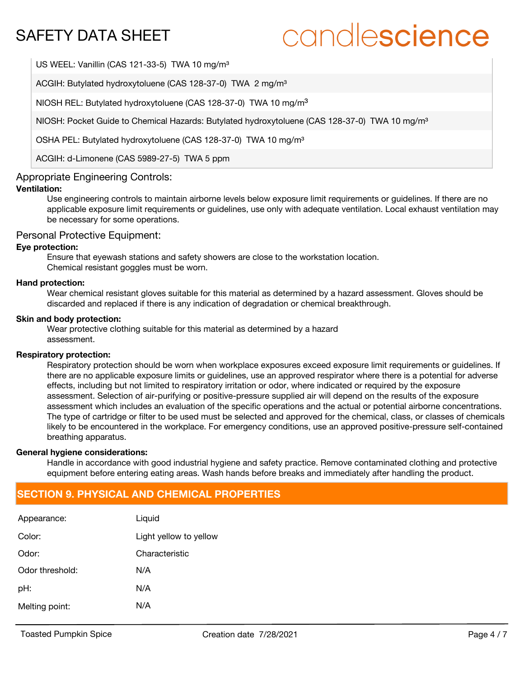# candlescience

US WEEL: Vanillin (CAS 121-33-5) TWA 10 mg/m<sup>3</sup>

ACGIH: Butylated hydroxytoluene (CAS 128-37-0) TWA 2 mg/m<sup>3</sup>

NIOSH REL: Butylated hydroxytoluene (CAS 128-37-0) TWA 10 mg/m<sup>3</sup>

NIOSH: Pocket Guide to Chemical Hazards: Butylated hydroxytoluene (CAS 128-37-0) TWA 10 mg/m<sup>3</sup>

OSHA PEL: Butylated hydroxytoluene (CAS 128-37-0) TWA 10 mg/m<sup>3</sup>

ACGIH: d-Limonene (CAS 5989-27-5) TWA 5 ppm

#### Appropriate Engineering Controls:

#### **Ventilation:**

Use engineering controls to maintain airborne levels below exposure limit requirements or guidelines. If there are no applicable exposure limit requirements or guidelines, use only with adequate ventilation. Local exhaust ventilation may be necessary for some operations.

#### Personal Protective Equipment:

#### **Eye protection:**

Ensure that eyewash stations and safety showers are close to the workstation location. Chemical resistant goggles must be worn.

#### **Hand protection:**

Wear chemical resistant gloves suitable for this material as determined by a hazard assessment. Gloves should be discarded and replaced if there is any indication of degradation or chemical breakthrough.

#### **Skin and body protection:**

Wear protective clothing suitable for this material as determined by a hazard assessment.

#### **Respiratory protection:**

Respiratory protection should be worn when workplace exposures exceed exposure limit requirements or quidelines. If there are no applicable exposure limits or guidelines, use an approved respirator where there is a potential for adverse effects, including but not limited to respiratory irritation or odor, where indicated or required by the exposure assessment. Selection of air-purifying or positive-pressure supplied air will depend on the results of the exposure assessment which includes an evaluation of the specific operations and the actual or potential airborne concentrations. The type of cartridge or filter to be used must be selected and approved for the chemical, class, or classes of chemicals likely to be encountered in the workplace. For emergency conditions, use an approved positive-pressure self-contained breathing apparatus.

#### **General hygiene considerations:**

Handle in accordance with good industrial hygiene and safety practice. Remove contaminated clothing and protective equipment before entering eating areas. Wash hands before breaks and immediately after handling the product.

## **SECTION 9. PHYSICAL AND CHEMICAL PROPERTIES**

| Appearance:     | Liquid                 |
|-----------------|------------------------|
| Color:          | Light yellow to yellow |
| Odor:           | Characteristic         |
| Odor threshold: | N/A                    |
| pH:             | N/A                    |
| Melting point:  | N/A                    |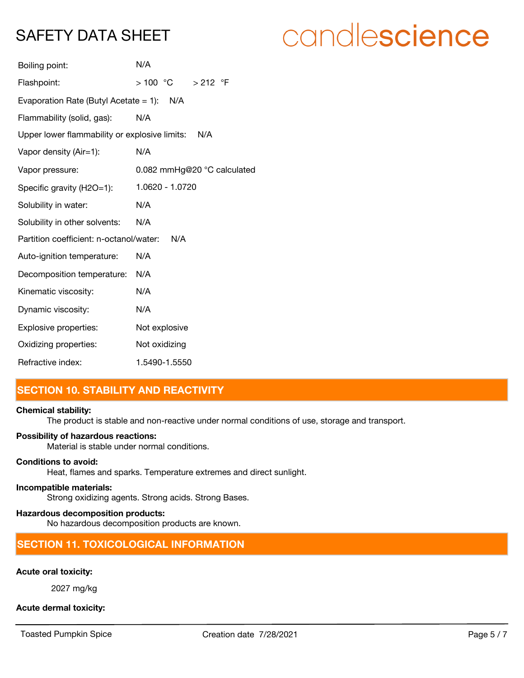# candlescience

| Boiling point:                                       | N/A                         |  |  |
|------------------------------------------------------|-----------------------------|--|--|
| Flashpoint:                                          | > 100 °C > 212 °F           |  |  |
| Evaporation Rate (Butyl Acetate = 1): $N/A$          |                             |  |  |
| Flammability (solid, gas):                           | N/A                         |  |  |
| Upper lower flammability or explosive limits:<br>N/A |                             |  |  |
| Vapor density (Air=1):                               | N/A                         |  |  |
| Vapor pressure:                                      | 0.082 mmHg@20 °C calculated |  |  |
| Specific gravity (H2O=1):                            | 1.0620 - 1.0720             |  |  |
| Solubility in water:                                 | N/A                         |  |  |
| Solubility in other solvents:                        | N/A                         |  |  |
| Partition coefficient: n-octanol/water:              | N/A                         |  |  |
| Auto-ignition temperature:                           | N/A                         |  |  |
| Decomposition temperature:                           | N/A                         |  |  |
| Kinematic viscosity:                                 | N/A                         |  |  |
| Dynamic viscosity:                                   | N/A                         |  |  |
| Explosive properties:                                | Not explosive               |  |  |
| Oxidizing properties:                                | Not oxidizing               |  |  |
| Refractive index:                                    | 1.5490-1.5550               |  |  |

# **SECTION 10. STABILITY AND REACTIVITY**

#### **Chemical stability:**

The product is stable and non-reactive under normal conditions of use, storage and transport.

#### **Possibility of hazardous reactions:**

Material is stable under normal conditions.

#### **Conditions to avoid:**

Heat, flames and sparks. Temperature extremes and direct sunlight.

#### **Incompatible materials:**

Strong oxidizing agents. Strong acids. Strong Bases.

#### **Hazardous decomposition products:**

No hazardous decomposition products are known.

## **SECTION 11. TOXICOLOGICAL INFORMATION**

#### **Acute oral toxicity:**

2027 mg/kg

#### **Acute dermal toxicity:**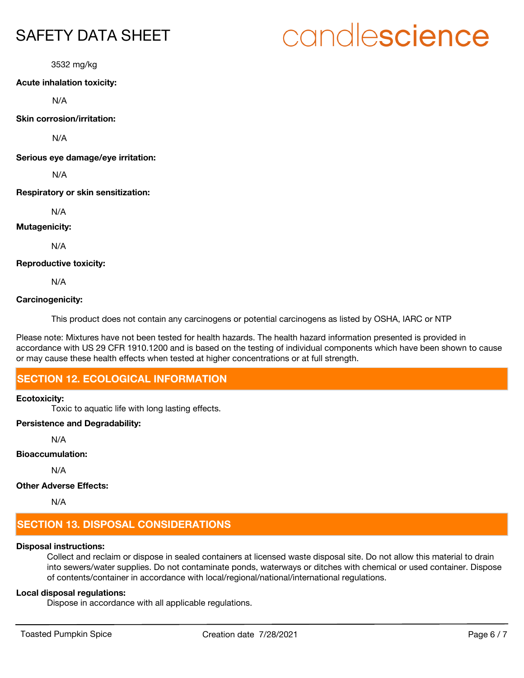3532 mg/kg

#### **Acute inhalation toxicity:**

N/A

**Skin corrosion/irritation:**

N/A

**Serious eye damage/eye irritation:**

N/A

#### **Respiratory or skin sensitization:**

N/A

#### **Mutagenicity:**

N/A

#### **Reproductive toxicity:**

N/A

#### **Carcinogenicity:**

This product does not contain any carcinogens or potential carcinogens as listed by OSHA, IARC or NTP

Please note: Mixtures have not been tested for health hazards. The health hazard information presented is provided in accordance with US 29 CFR 1910.1200 and is based on the testing of individual components which have been shown to cause or may cause these health effects when tested at higher concentrations or at full strength.

# **SECTION 12. ECOLOGICAL INFORMATION**

#### **Ecotoxicity:**

Toxic to aquatic life with long lasting effects.

#### **Persistence and Degradability:**

N/A

#### **Bioaccumulation:**

N/A

### **Other Adverse Effects:**

N/A

# **SECTION 13. DISPOSAL CONSIDERATIONS**

### **Disposal instructions:**

Collect and reclaim or dispose in sealed containers at licensed waste disposal site. Do not allow this material to drain into sewers/water supplies. Do not contaminate ponds, waterways or ditches with chemical or used container. Dispose of contents/container in accordance with local/regional/national/international regulations.

## **Local disposal regulations:**

Dispose in accordance with all applicable regulations.

# candlescience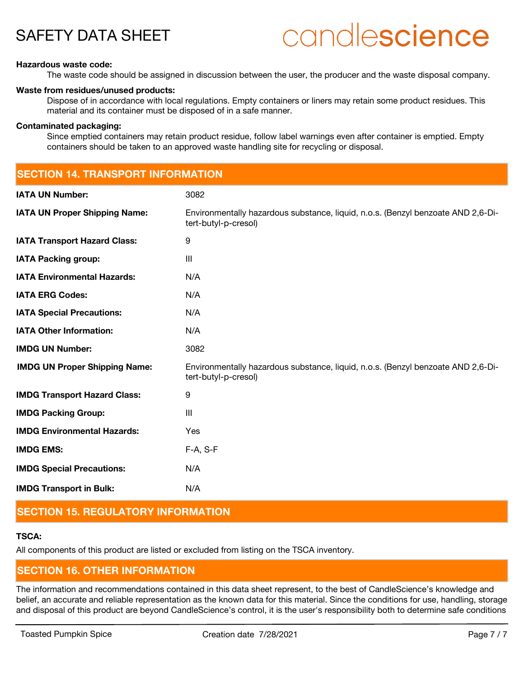# candlescience

#### **Hazardous waste code:**

The waste code should be assigned in discussion between the user, the producer and the waste disposal company.

#### **Waste from residues/unused products:**

Dispose of in accordance with local regulations. Empty containers or liners may retain some product residues. This material and its container must be disposed of in a safe manner.

#### **Contaminated packaging:**

Since emptied containers may retain product residue, follow label warnings even after container is emptied. Empty containers should be taken to an approved waste handling site for recycling or disposal.

| <b>SECTION 14. TRANSPORT INFORMATION</b> |                                                                                                          |  |
|------------------------------------------|----------------------------------------------------------------------------------------------------------|--|
| <b>IATA UN Number:</b>                   | 3082                                                                                                     |  |
| <b>IATA UN Proper Shipping Name:</b>     | Environmentally hazardous substance, liquid, n.o.s. (Benzyl benzoate AND 2,6-Di-<br>tert-butyl-p-cresol) |  |
| <b>IATA Transport Hazard Class:</b>      | $\boldsymbol{9}$                                                                                         |  |
| <b>IATA Packing group:</b>               | $\mathbf{III}$                                                                                           |  |
| <b>IATA Environmental Hazards:</b>       | N/A                                                                                                      |  |
| <b>IATA ERG Codes:</b>                   | N/A                                                                                                      |  |
| <b>IATA Special Precautions:</b>         | N/A                                                                                                      |  |
| <b>IATA Other Information:</b>           | N/A                                                                                                      |  |
| <b>IMDG UN Number:</b>                   | 3082                                                                                                     |  |
| <b>IMDG UN Proper Shipping Name:</b>     | Environmentally hazardous substance, liquid, n.o.s. (Benzyl benzoate AND 2,6-Di-<br>tert-butyl-p-cresol) |  |
| <b>IMDG Transport Hazard Class:</b>      | 9                                                                                                        |  |
| <b>IMDG Packing Group:</b>               | $\mathbf{III}$                                                                                           |  |
| <b>IMDG Environmental Hazards:</b>       | Yes                                                                                                      |  |
| <b>IMDG EMS:</b>                         | F-A, S-F                                                                                                 |  |
| <b>IMDG Special Precautions:</b>         | N/A                                                                                                      |  |
| <b>IMDG Transport in Bulk:</b>           | N/A                                                                                                      |  |

## **SECTION 15. REGULATORY INFORMATION**

### **TSCA:**

All components of this product are listed or excluded from listing on the TSCA inventory.

# **SECTION 16. OTHER INFORMATION**

The information and recommendations contained in this data sheet represent, to the best of CandleScience's knowledge and belief, an accurate and reliable representation as the known data for this material. Since the conditions for use, handling, storage and disposal of this product are beyond CandleScience's control, it is the user's responsibility both to determine safe conditions